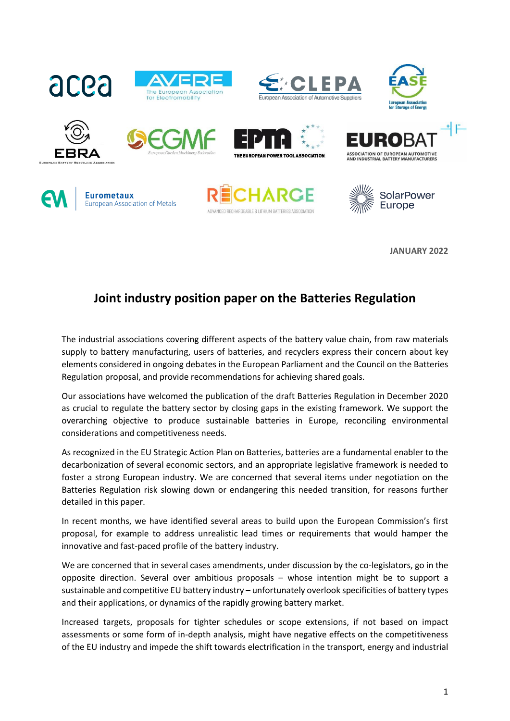





















**JANUARY 2022**

# **Joint industry position paper on the Batteries Regulation**

The industrial associations covering different aspects of the battery value chain, from raw materials supply to battery manufacturing, users of batteries, and recyclers express their concern about key elements considered in ongoing debates in the European Parliament and the Council on the Batteries Regulation proposal, and provide recommendations for achieving shared goals.

Our associations have welcomed the publication of the draft Batteries Regulation in December 2020 as crucial to regulate the battery sector by closing gaps in the existing framework. We support the overarching objective to produce sustainable batteries in Europe, reconciling environmental considerations and competitiveness needs.

As recognized in the EU Strategic Action Plan on Batteries, batteries are a fundamental enabler to the decarbonization of several economic sectors, and an appropriate legislative framework is needed to foster a strong European industry. We are concerned that several items under negotiation on the Batteries Regulation risk slowing down or endangering this needed transition, for reasons further detailed in this paper.

In recent months, we have identified several areas to build upon the European Commission's first proposal, for example to address unrealistic lead times or requirements that would hamper the innovative and fast-paced profile of the battery industry.

We are concerned that in several cases amendments, under discussion by the co-legislators, go in the opposite direction. Several over ambitious proposals – whose intention might be to support a sustainable and competitive EU battery industry – unfortunately overlook specificities of battery types and their applications, or dynamics of the rapidly growing battery market.

Increased targets, proposals for tighter schedules or scope extensions, if not based on impact assessments or some form of in-depth analysis, might have negative effects on the competitiveness of the EU industry and impede the shift towards electrification in the transport, energy and industrial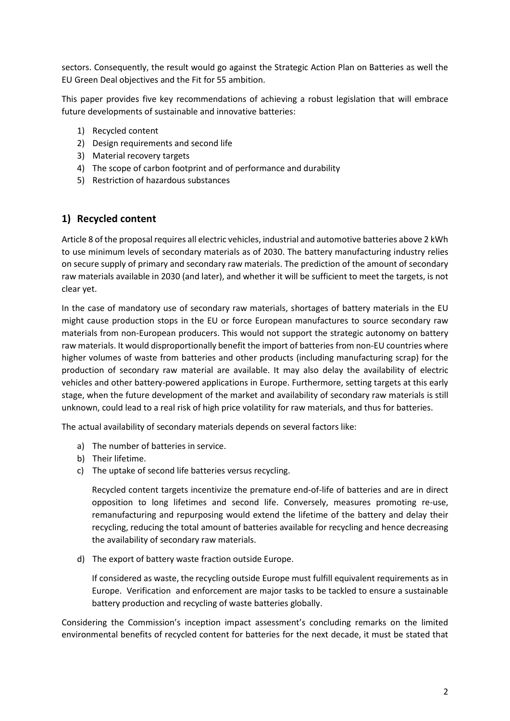sectors. Consequently, the result would go against the Strategic Action Plan on Batteries as well the EU Green Deal objectives and the Fit for 55 ambition.

This paper provides five key recommendations of achieving a robust legislation that will embrace future developments of sustainable and innovative batteries:

- 1) Recycled content
- 2) Design requirements and second life
- 3) Material recovery targets
- 4) The scope of carbon footprint and of performance and durability
- 5) Restriction of hazardous substances

#### **1) Recycled content**

Article 8 of the proposal requires all electric vehicles, industrial and automotive batteries above 2 kWh to use minimum levels of secondary materials as of 2030. The battery manufacturing industry relies on secure supply of primary and secondary raw materials. The prediction of the amount of secondary raw materials available in 2030 (and later), and whether it will be sufficient to meet the targets, is not clear yet.

In the case of mandatory use of secondary raw materials, shortages of battery materials in the EU might cause production stops in the EU or force European manufactures to source secondary raw materials from non-European producers. This would not support the strategic autonomy on battery raw materials. It would disproportionally benefit the import of batteries from non-EU countries where higher volumes of waste from batteries and other products (including manufacturing scrap) for the production of secondary raw material are available. It may also delay the availability of electric vehicles and other battery-powered applications in Europe. Furthermore, setting targets at this early stage, when the future development of the market and availability of secondary raw materials is still unknown, could lead to a real risk of high price volatility for raw materials, and thus for batteries.

The actual availability of secondary materials depends on several factors like:

- a) The number of batteries in service.
- b) Their lifetime.
- c) The uptake of second life batteries versus recycling.

Recycled content targets incentivize the premature end-of-life of batteries and are in direct opposition to long lifetimes and second life. Conversely, measures promoting re-use, remanufacturing and repurposing would extend the lifetime of the battery and delay their recycling, reducing the total amount of batteries available for recycling and hence decreasing the availability of secondary raw materials.

d) The export of battery waste fraction outside Europe.

If considered as waste, the recycling outside Europe must fulfill equivalent requirements as in Europe. Verification and enforcement are major tasks to be tackled to ensure a sustainable battery production and recycling of waste batteries globally.

Considering the Commission's inception impact assessment's concluding remarks on the limited environmental benefits of recycled content for batteries for the next decade, it must be stated that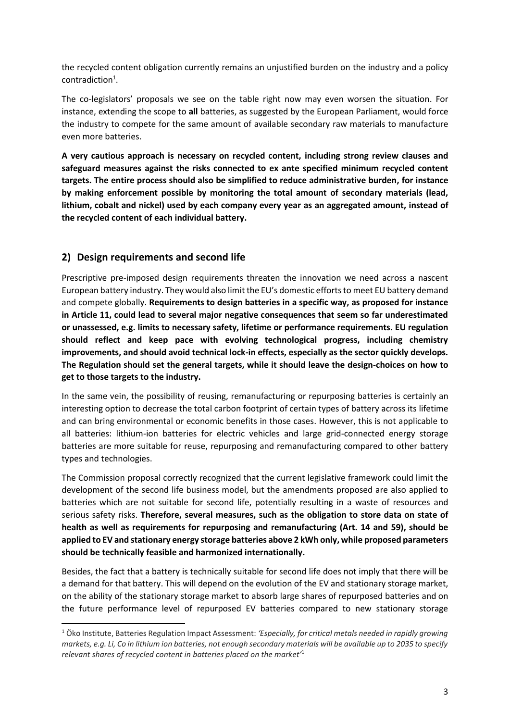the recycled content obligation currently remains an unjustified burden on the industry and a policy contradiction<sup>1</sup>.

The co-legislators' proposals we see on the table right now may even worsen the situation. For instance, extending the scope to **all** batteries, as suggested by the European Parliament, would force the industry to compete for the same amount of available secondary raw materials to manufacture even more batteries.

**A very cautious approach is necessary on recycled content, including strong review clauses and safeguard measures against the risks connected to ex ante specified minimum recycled content targets. The entire process should also be simplified to reduce administrative burden, for instance by making enforcement possible by monitoring the total amount of secondary materials (lead, lithium, cobalt and nickel) used by each company every year as an aggregated amount, instead of the recycled content of each individual battery.** 

## **2) Design requirements and second life**

Prescriptive pre-imposed design requirements threaten the innovation we need across a nascent European battery industry. They would also limit the EU's domestic efforts to meet EU battery demand and compete globally. **Requirements to design batteries in a specific way, as proposed for instance in Article 11, could lead to several major negative consequences that seem so far underestimated or unassessed, e.g. limits to necessary safety, lifetime or performance requirements. EU regulation should reflect and keep pace with evolving technological progress, including chemistry improvements, and should avoid technical lock-in effects, especially as the sector quickly develops. The Regulation should set the general targets, while it should leave the design-choices on how to get to those targets to the industry.**

In the same vein, the possibility of reusing, remanufacturing or repurposing batteries is certainly an interesting option to decrease the total carbon footprint of certain types of battery across its lifetime and can bring environmental or economic benefits in those cases. However, this is not applicable to all batteries: lithium-ion batteries for electric vehicles and large grid-connected energy storage batteries are more suitable for reuse, repurposing and remanufacturing compared to other battery types and technologies.

The Commission proposal correctly recognized that the current legislative framework could limit the development of the second life business model, but the amendments proposed are also applied to batteries which are not suitable for second life, potentially resulting in a waste of resources and serious safety risks. **Therefore, several measures, such as the obligation to store data on state of health as well as requirements for repurposing and remanufacturing (Art. 14 and 59), should be applied to EV and stationary energy storage batteries above 2 kWh only, while proposed parameters should be technically feasible and harmonized internationally.** 

Besides, the fact that a battery is technically suitable for second life does not imply that there will be a demand for that battery. This will depend on the evolution of the EV and stationary storage market, on the ability of the stationary storage market to absorb large shares of repurposed batteries and on the future performance level of repurposed EV batteries compared to new stationary storage

<sup>1</sup> Öko Institute, Batteries Regulation Impact Assessment: *'Especially, for critical metals needed in rapidly growing markets, e.g. Li, Co in lithium ion batteries, not enough secondary materials will be available up to 2035 to specify relevant shares of recycled content in batteries placed on the market'*<sup>1</sup>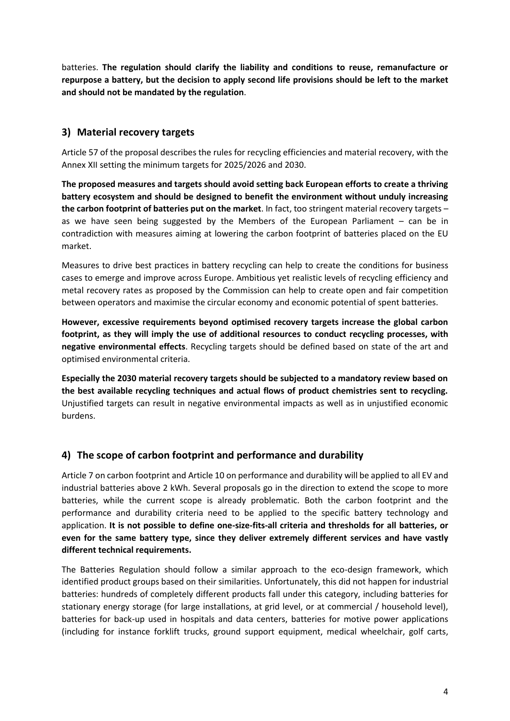batteries. **The regulation should clarify the liability and conditions to reuse, remanufacture or repurpose a battery, but the decision to apply second life provisions should be left to the market and should not be mandated by the regulation**.

#### **3) Material recovery targets**

Article 57 of the proposal describes the rules for recycling efficiencies and material recovery, with the Annex XII setting the minimum targets for 2025/2026 and 2030.

**The proposed measures and targets should avoid setting back European efforts to create a thriving battery ecosystem and should be designed to benefit the environment without unduly increasing the carbon footprint of batteries put on the market**. In fact, too stringent material recovery targets – as we have seen being suggested by the Members of the European Parliament – can be in contradiction with measures aiming at lowering the carbon footprint of batteries placed on the EU market.

Measures to drive best practices in battery recycling can help to create the conditions for business cases to emerge and improve across Europe. Ambitious yet realistic levels of recycling efficiency and metal recovery rates as proposed by the Commission can help to create open and fair competition between operators and maximise the circular economy and economic potential of spent batteries.

**However, excessive requirements beyond optimised recovery targets increase the global carbon footprint, as they will imply the use of additional resources to conduct recycling processes, with negative environmental effects**. Recycling targets should be defined based on state of the art and optimised environmental criteria.

**Especially the 2030 material recovery targets should be subjected to a mandatory review based on the best available recycling techniques and actual flows of product chemistries sent to recycling.** Unjustified targets can result in negative environmental impacts as well as in unjustified economic burdens.

## **4) The scope of carbon footprint and performance and durability**

Article 7 on carbon footprint and Article 10 on performance and durability will be applied to all EV and industrial batteries above 2 kWh. Several proposals go in the direction to extend the scope to more batteries, while the current scope is already problematic. Both the carbon footprint and the performance and durability criteria need to be applied to the specific battery technology and application. **It is not possible to define one-size-fits-all criteria and thresholds for all batteries, or even for the same battery type, since they deliver extremely different services and have vastly different technical requirements.** 

The Batteries Regulation should follow a similar approach to the eco-design framework, which identified product groups based on their similarities. Unfortunately, this did not happen for industrial batteries: hundreds of completely different products fall under this category, including batteries for stationary energy storage (for large installations, at grid level, or at commercial / household level), batteries for back-up used in hospitals and data centers, batteries for motive power applications (including for instance forklift trucks, ground support equipment, medical wheelchair, golf carts,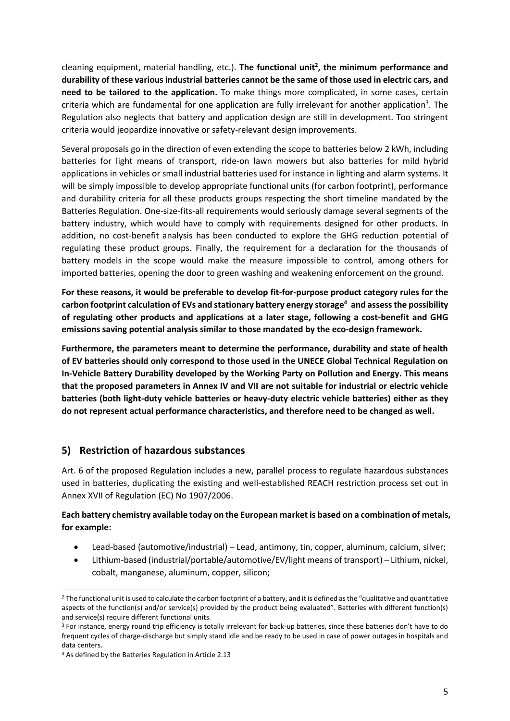cleaning equipment, material handling, etc.). **The functional unit<sup>2</sup> , the minimum performance and durability of these various industrial batteries cannot be the same of those used in electric cars, and need to be tailored to the application.** To make things more complicated, in some cases, certain criteria which are fundamental for one application are fully irrelevant for another application<sup>3</sup>. The Regulation also neglects that battery and application design are still in development. Too stringent criteria would jeopardize innovative or safety-relevant design improvements.

Several proposals go in the direction of even extending the scope to batteries below 2 kWh, including batteries for light means of transport, ride-on lawn mowers but also batteries for mild hybrid applications in vehicles or small industrial batteries used for instance in lighting and alarm systems. It will be simply impossible to develop appropriate functional units (for carbon footprint), performance and durability criteria for all these products groups respecting the short timeline mandated by the Batteries Regulation. One-size-fits-all requirements would seriously damage several segments of the battery industry, which would have to comply with requirements designed for other products. In addition, no cost-benefit analysis has been conducted to explore the GHG reduction potential of regulating these product groups. Finally, the requirement for a declaration for the thousands of battery models in the scope would make the measure impossible to control, among others for imported batteries, opening the door to green washing and weakening enforcement on the ground.

**For these reasons, it would be preferable to develop fit-for-purpose product category rules for the carbon footprint calculation of EVs and stationary battery energy storage<sup>4</sup> and assess the possibility of regulating other products and applications at a later stage, following a cost-benefit and GHG emissions saving potential analysis similar to those mandated by the eco-design framework.** 

**Furthermore, the parameters meant to determine the performance, durability and state of health of EV batteries should only correspond to those used in the UNECE Global Technical Regulation on In-Vehicle Battery Durability developed by the Working Party on Pollution and Energy. This means that the proposed parameters in Annex IV and VII are not suitable for industrial or electric vehicle batteries (both light-duty vehicle batteries or heavy-duty electric vehicle batteries) either as they do not represent actual performance characteristics, and therefore need to be changed as well.**

## **5) Restriction of hazardous substances**

Art. 6 of the proposed Regulation includes a new, parallel process to regulate hazardous substances used in batteries, duplicating the existing and well-established REACH restriction process set out in Annex XVII of Regulation (EC) No 1907/2006.

#### **Each battery chemistry available today on the European market is based on a combination of metals, for example:**

- Lead-based (automotive/industrial) Lead, antimony, tin, copper, aluminum, calcium, silver;
- Lithium-based (industrial/portable/automotive/EV/light means of transport) Lithium, nickel, cobalt, manganese, aluminum, copper, silicon;

<sup>&</sup>lt;sup>2</sup> The functional unit is used to calculate the carbon footprint of a battery, and it is defined as the "qualitative and quantitative aspects of the function(s) and/or service(s) provided by the product being evaluated". Batteries with different function(s) and service(s) require different functional units.

<sup>&</sup>lt;sup>3</sup> For instance, energy round trip efficiency is totally irrelevant for back-up batteries, since these batteries don't have to do frequent cycles of charge-discharge but simply stand idle and be ready to be used in case of power outages in hospitals and data centers.

<sup>4</sup> As defined by the Batteries Regulation in Article 2.13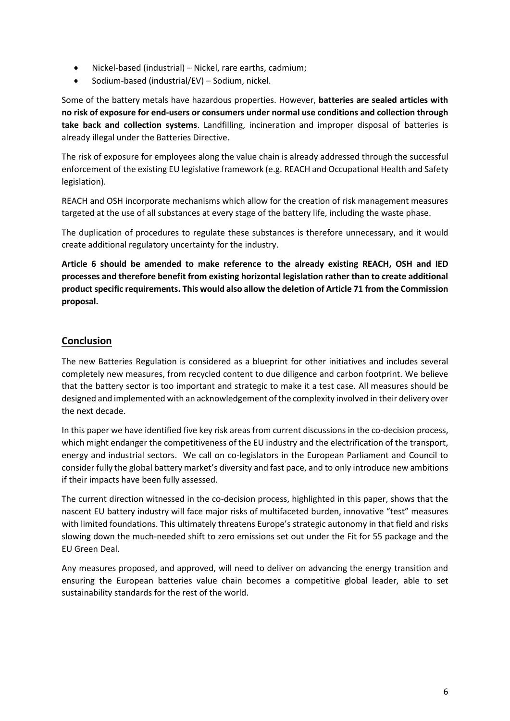- Nickel-based (industrial) Nickel, rare earths, cadmium;
- Sodium-based (industrial/EV) Sodium, nickel.

Some of the battery metals have hazardous properties. However, **batteries are sealed articles with no risk of exposure for end-users or consumers under normal use conditions and collection through take back and collection systems**. Landfilling, incineration and improper disposal of batteries is already illegal under the Batteries Directive.

The risk of exposure for employees along the value chain is already addressed through the successful enforcement of the existing EU legislative framework (e.g. REACH and Occupational Health and Safety legislation).

REACH and OSH incorporate mechanisms which allow for the creation of risk management measures targeted at the use of all substances at every stage of the battery life, including the waste phase.

The duplication of procedures to regulate these substances is therefore unnecessary, and it would create additional regulatory uncertainty for the industry.

**Article 6 should be amended to make reference to the already existing REACH, OSH and IED processes and therefore benefit from existing horizontal legislation rather than to create additional productspecific requirements. This would also allow the deletion of Article 71 from the Commission proposal.**

#### **Conclusion**

The new Batteries Regulation is considered as a blueprint for other initiatives and includes several completely new measures, from recycled content to due diligence and carbon footprint. We believe that the battery sector is too important and strategic to make it a test case. All measures should be designed and implemented with an acknowledgement of the complexity involved in their delivery over the next decade.

In this paper we have identified five key risk areas from current discussions in the co-decision process, which might endanger the competitiveness of the EU industry and the electrification of the transport, energy and industrial sectors. We call on co-legislators in the European Parliament and Council to consider fully the global battery market's diversity and fast pace, and to only introduce new ambitions if their impacts have been fully assessed.

The current direction witnessed in the co-decision process, highlighted in this paper, shows that the nascent EU battery industry will face major risks of multifaceted burden, innovative "test" measures with limited foundations. This ultimately threatens Europe's strategic autonomy in that field and risks slowing down the much-needed shift to zero emissions set out under the Fit for 55 package and the EU Green Deal.

Any measures proposed, and approved, will need to deliver on advancing the energy transition and ensuring the European batteries value chain becomes a competitive global leader, able to set sustainability standards for the rest of the world.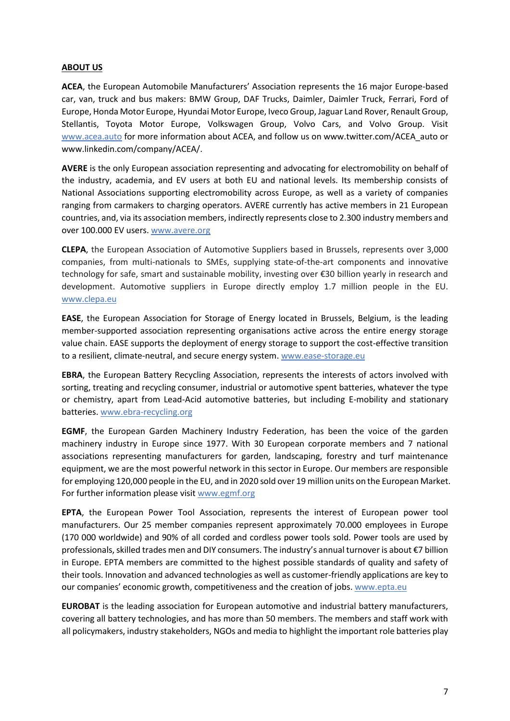#### **ABOUT US**

**ACEA**, the European Automobile Manufacturers' Association represents the 16 major Europe-based car, van, truck and bus makers: BMW Group, DAF Trucks, Daimler, Daimler Truck, Ferrari, Ford of Europe, Honda Motor Europe, Hyundai Motor Europe, Iveco Group, Jaguar Land Rover, Renault Group, Stellantis, Toyota Motor Europe, Volkswagen Group, Volvo Cars, and Volvo Group. Visit [www.acea.auto](http://www.acea.auto/) for more information about ACEA, and follow us on www.twitter.com/ACEA\_auto or www.linkedin.com/company/ACEA/.

**AVERE** is the only European association representing and advocating for electromobility on behalf of the industry, academia, and EV users at both EU and national levels. Its membership consists of National Associations supporting electromobility across Europe, as well as a variety of companies ranging from carmakers to charging operators. AVERE currently has active members in 21 European countries, and, via its association members, indirectly represents close to 2.300 industry members and over 100.000 EV users. [www.avere.org](http://www.avere.org/)

**CLEPA**, the European Association of Automotive Suppliers based in Brussels, represents over 3,000 companies, from multi-nationals to SMEs, supplying state-of-the-art components and innovative technology for safe, smart and sustainable mobility, investing over €30 billion yearly in research and development. Automotive suppliers in Europe directly employ 1.7 million people in the EU. [www.clepa.eu](http://www.clepa.eu/)

**EASE**, the European Association for Storage of Energy located in Brussels, Belgium, is the leading member-supported association representing organisations active across the entire energy storage value chain. EASE supports the deployment of energy storage to support the cost-effective transition to a resilient, climate-neutral, and secure energy system. [www.ease-storage.eu](http://www.ease-storage.eu/)

**EBRA**, the European Battery Recycling Association, represents the interests of actors involved with sorting, treating and recycling consumer, industrial or automotive spent batteries, whatever the type or chemistry, apart from Lead-Acid automotive batteries, but including E-mobility and stationary batteries. [www.ebra-recycling.org](http://www.ebra-recycling.org/)

**EGMF**, the European Garden Machinery Industry Federation, has been the voice of the garden machinery industry in Europe since 1977. With 30 European corporate members and 7 national associations representing manufacturers for garden, landscaping, forestry and turf maintenance equipment, we are the most powerful network in this sector in Europe. Our members are responsible for employing 120,000 people in the EU, and in 2020 sold over 19 million units on the European Market. For further information please visit [www.egmf.org](http://www.egmf.org/)

**EPTA**, the European Power Tool Association, represents the interest of European power tool manufacturers. Our 25 member companies represent approximately 70.000 employees in Europe (170 000 worldwide) and 90% of all corded and cordless power tools sold. Power tools are used by professionals, skilled trades men and DIY consumers. The industry's annual turnover is about €7 billion in Europe. EPTA members are committed to the highest possible standards of quality and safety of their tools. Innovation and advanced technologies as well as customer-friendly applications are key to our companies' economic growth, competitiveness and the creation of jobs. [www.epta.eu](http://www.epta.eu/)

**EUROBAT** is the leading association for European automotive and industrial battery manufacturers, covering all battery technologies, and has more than 50 members. The members and staff work with all policymakers, industry stakeholders, NGOs and media to highlight the important role batteries play